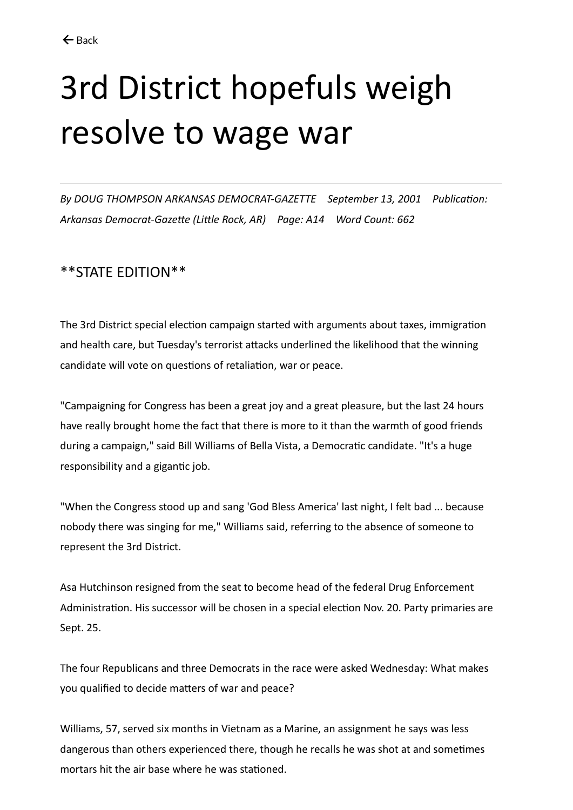## 3rd District hopefuls weigh resolve to wage war

*By DOUG THOMPSON ARKANSAS DEMOCRAT-GAZETTE September 13, 2001 Publication: Arkansas Democrat-Gazette (Little Rock, AR) Page: A14 Word Count: 662*

## \*\*STATE EDITION\*\*

The 3rd District special election campaign started with arguments about taxes, immigration and health care, but Tuesday's terrorist attacks underlined the likelihood that the winning candidate will vote on questions of retaliation, war or peace.

"Campaigning for Congress has been a great joy and a great pleasure, but the last 24 hours have really brought home the fact that there is more to it than the warmth of good friends during a campaign," said Bill Williams of Bella Vista, a Democratic candidate. "It's a huge responsibility and a gigantic job.

"When the Congress stood up and sang 'God Bless America' last night, I felt bad ... because nobody there was singing for me," Williams said, referring to the absence of someone to represent the 3rd District.

Asa Hutchinson resigned from the seat to become head of the federal Drug Enforcement Administration. His successor will be chosen in a special election Nov. 20. Party primaries are Sept. 25.

The four Republicans and three Democrats in the race were asked Wednesday: What makes you qualified to decide matters of war and peace?

Williams, 57, served six months in Vietnam as a Marine, an assignment he says was less dangerous than others experienced there, though he recalls he was shot at and sometimes mortars hit the air base where he was stationed.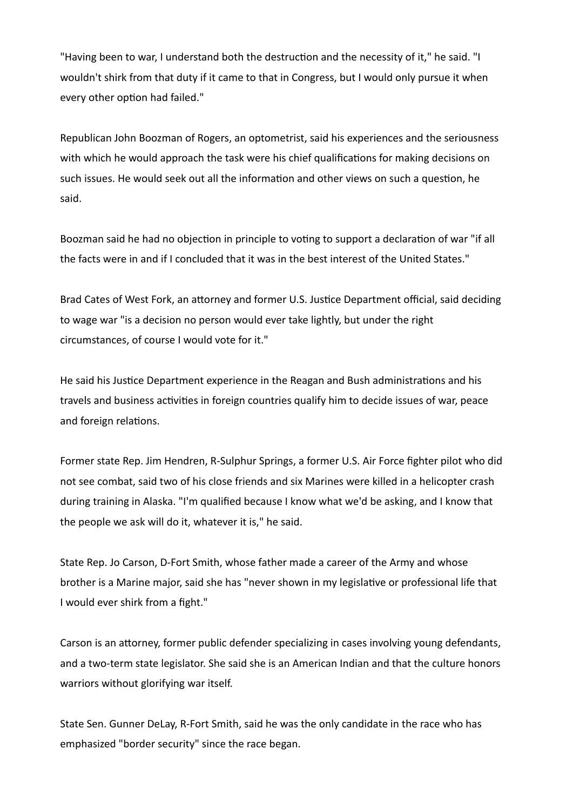"Having been to war, I understand both the destruction and the necessity of it," he said. "I wouldn't shirk from that duty if it came to that in Congress, but I would only pursue it when every other option had failed."

Republican John Boozman of Rogers, an optometrist, said his experiences and the seriousness with which he would approach the task were his chief qualifications for making decisions on such issues. He would seek out all the information and other views on such a question, he said.

Boozman said he had no objection in principle to voting to support a declaration of war "if all the facts were in and if I concluded that it was in the best interest of the United States."

Brad Cates of West Fork, an attorney and former U.S. Justice Department official, said deciding to wage war "is a decision no person would ever take lightly, but under the right circumstances, of course I would vote for it."

He said his Justice Department experience in the Reagan and Bush administrations and his travels and business activities in foreign countries qualify him to decide issues of war, peace and foreign relations.

Former state Rep. Jim Hendren, R-Sulphur Springs, a former U.S. Air Force fighter pilot who did not see combat, said two of his close friends and six Marines were killed in a helicopter crash during training in Alaska. "I'm qualified because I know what we'd be asking, and I know that the people we ask will do it, whatever it is," he said.

State Rep. Jo Carson, D-Fort Smith, whose father made a career of the Army and whose brother is a Marine major, said she has "never shown in my legislative or professional life that I would ever shirk from a fight."

Carson is an attorney, former public defender specializing in cases involving young defendants, and a two-term state legislator. She said she is an American Indian and that the culture honors warriors without glorifying war itself.

State Sen. Gunner DeLay, R-Fort Smith, said he was the only candidate in the race who has emphasized "border security" since the race began.